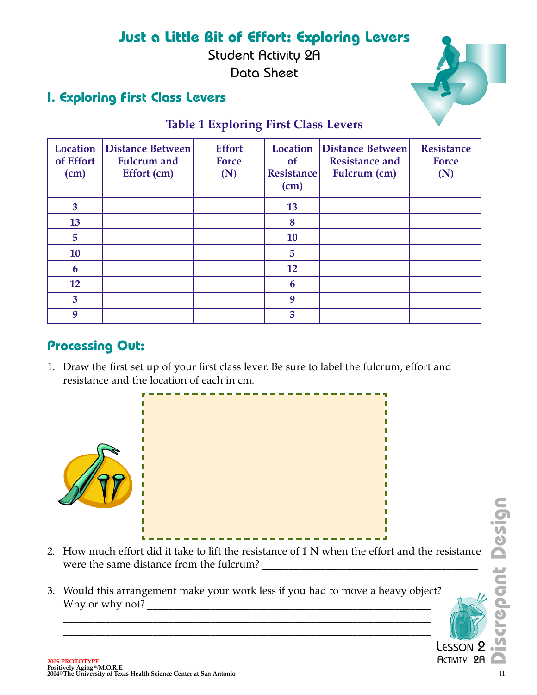# **Just a Little Bit of Effort: Exploring Levers**

Student Activity 2A Data Sheet

### **I. Exploring First Class Levers**



#### **Table 1 Exploring First Class Levers**

| <b>Location</b><br>of Effort<br>(cm) | <b>Distance Between</b><br><b>Fulcrum</b> and<br>Effort (cm) | <b>Effort</b><br>Force<br>(N) | Location<br>of<br><b>Resistance</b><br>(cm) | Distance Between<br><b>Resistance and</b><br>Fulcrum (cm) | <b>Resistance</b><br><b>Force</b><br>(N) |
|--------------------------------------|--------------------------------------------------------------|-------------------------------|---------------------------------------------|-----------------------------------------------------------|------------------------------------------|
| $\overline{\mathbf{3}}$              |                                                              |                               | 13                                          |                                                           |                                          |
| 13                                   |                                                              |                               | 8                                           |                                                           |                                          |
| $5\overline{)}$                      |                                                              |                               | 10                                          |                                                           |                                          |
| 10                                   |                                                              |                               | 5                                           |                                                           |                                          |
| 6                                    |                                                              |                               | 12                                          |                                                           |                                          |
| 12                                   |                                                              |                               | 6                                           |                                                           |                                          |
| $\overline{3}$                       |                                                              |                               | 9                                           |                                                           |                                          |
| 9                                    |                                                              |                               | 3                                           |                                                           |                                          |

#### **Processing Out:**

1. Draw the first set up of your first class lever. Be sure to label the fulcrum, effort and resistance and the location of each in cm.



- 2. How much effort did it take to lift the resistance of 1 N when the effort and the resistance were the same distance from the fulcrum? **2006 PROTOTYPE**<br>
2006 PROTOTYPE<br>
2006 PROTOTYPE<br>
2006 PROTOTYPE<br>
2006 PROTOTYPE<br>
2006 PROTOTYPE<br>
2006 PROTOTYPE<br>
2006 PROTOTYPE<br>
2006 PROTOTYPE<br>
2006 PROTOTYPE<br>
2006 PROTOTYPE<br>
2006 PROTOTYPE<br>
2006 PROTOTYPE<br>
2006 PROTOTY
- 3. Would this arrangement make your work less if you had to move a heavy object? Why or why not? \_\_\_\_\_\_\_\_\_\_\_\_\_\_\_\_\_\_\_\_\_\_\_\_\_\_\_\_\_\_\_\_\_\_\_\_\_\_\_\_\_\_\_\_\_\_\_\_\_\_\_\_\_\_

 $\_$  , and the contribution of the contribution of  $\mathcal{L}_1$  , and  $\mathcal{L}_2$  , and  $\mathcal{L}_3$  , and  $\mathcal{L}_4$  , and  $\mathcal{L}_5$  , and  $\mathcal{L}_6$  , and  $\mathcal{L}_7$  , and  $\mathcal{L}_8$  , and  $\mathcal{L}_7$  , and  $\mathcal{L}_8$  , and  $\mathcal{L}_9$  ,  $\_$  , and the contribution of the contribution of  $\mathcal{L}_1$  , and  $\mathcal{L}_2$  , and  $\mathcal{L}_3$  , and  $\mathcal{L}_4$  , and  $\mathcal{L}_5$  , and  $\mathcal{L}_6$  , and  $\mathcal{L}_7$  , and  $\mathcal{L}_8$  , and  $\mathcal{L}_7$  , and  $\mathcal{L}_8$  , and  $\mathcal{L}_9$  ,

LESSON **ACTIVITY 2A** 

E,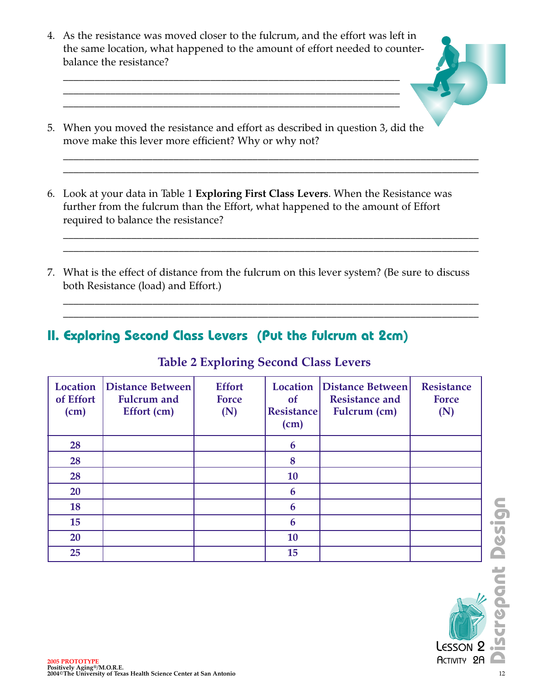4. As the resistance was moved closer to the fulcrum, and the effort was left in the same location, what happened to the amount of effort needed to counterbalance the resistance?

 $\mathcal{L}_\text{max} = \mathcal{L}_\text{max} = \mathcal{L}_\text{max} = \mathcal{L}_\text{max} = \mathcal{L}_\text{max} = \mathcal{L}_\text{max} = \mathcal{L}_\text{max} = \mathcal{L}_\text{max} = \mathcal{L}_\text{max} = \mathcal{L}_\text{max} = \mathcal{L}_\text{max} = \mathcal{L}_\text{max} = \mathcal{L}_\text{max} = \mathcal{L}_\text{max} = \mathcal{L}_\text{max} = \mathcal{L}_\text{max} = \mathcal{L}_\text{max} = \mathcal{L}_\text{max} = \mathcal{$  $\mathcal{L}_\text{max} = \mathcal{L}_\text{max} = \mathcal{L}_\text{max} = \mathcal{L}_\text{max} = \mathcal{L}_\text{max} = \mathcal{L}_\text{max} = \mathcal{L}_\text{max} = \mathcal{L}_\text{max} = \mathcal{L}_\text{max} = \mathcal{L}_\text{max} = \mathcal{L}_\text{max} = \mathcal{L}_\text{max} = \mathcal{L}_\text{max} = \mathcal{L}_\text{max} = \mathcal{L}_\text{max} = \mathcal{L}_\text{max} = \mathcal{L}_\text{max} = \mathcal{L}_\text{max} = \mathcal{$  $\mathcal{L}_\text{max} = \mathcal{L}_\text{max} = \mathcal{L}_\text{max} = \mathcal{L}_\text{max} = \mathcal{L}_\text{max} = \mathcal{L}_\text{max} = \mathcal{L}_\text{max} = \mathcal{L}_\text{max} = \mathcal{L}_\text{max} = \mathcal{L}_\text{max} = \mathcal{L}_\text{max} = \mathcal{L}_\text{max} = \mathcal{L}_\text{max} = \mathcal{L}_\text{max} = \mathcal{L}_\text{max} = \mathcal{L}_\text{max} = \mathcal{L}_\text{max} = \mathcal{L}_\text{max} = \mathcal{$ 



6. Look at your data in Table 1 **Exploring First Class Levers**. When the Resistance was further from the fulcrum than the Effort, what happened to the amount of Effort required to balance the resistance?

 $\_$  , and the set of the set of the set of the set of the set of the set of the set of the set of the set of the set of the set of the set of the set of the set of the set of the set of the set of the set of the set of th  $\_$  , and the set of the set of the set of the set of the set of the set of the set of the set of the set of the set of the set of the set of the set of the set of the set of the set of the set of the set of the set of th

 $\_$  , and the set of the set of the set of the set of the set of the set of the set of the set of the set of the set of the set of the set of the set of the set of the set of the set of the set of the set of the set of th  $\_$  , and the set of the set of the set of the set of the set of the set of the set of the set of the set of the set of the set of the set of the set of the set of the set of the set of the set of the set of the set of th

 $\_$  , and the set of the set of the set of the set of the set of the set of the set of the set of the set of the set of the set of the set of the set of the set of the set of the set of the set of the set of the set of th  $\_$  , and the set of the set of the set of the set of the set of the set of the set of the set of the set of the set of the set of the set of the set of the set of the set of the set of the set of the set of the set of th

7. What is the effect of distance from the fulcrum on this lever system? (Be sure to discuss both Resistance (load) and Effort.)

#### **II. Exploring Second Class Levers (Put the fulcrum at 2cm)**

#### **Table 2 Exploring Second Class Levers**

| <b>Location</b><br>of Effort<br>(cm) | Distance Between<br><b>Fulcrum</b> and<br>Effort (cm)             | <b>Effort</b><br><b>Force</b><br>(N) | <b>of</b><br><b>Resistance</b><br>(cm) | Location   Distance Between  <br><b>Resistance and</b><br>Fulcrum (cm) | <b>Resistance</b><br><b>Force</b><br>(N) |        |
|--------------------------------------|-------------------------------------------------------------------|--------------------------------------|----------------------------------------|------------------------------------------------------------------------|------------------------------------------|--------|
| 28                                   |                                                                   |                                      | 6                                      |                                                                        |                                          |        |
| 28                                   |                                                                   |                                      | 8                                      |                                                                        |                                          |        |
| 28                                   |                                                                   |                                      | 10                                     |                                                                        |                                          |        |
| 20                                   |                                                                   |                                      | 6                                      |                                                                        |                                          |        |
| 18                                   |                                                                   |                                      | 6                                      |                                                                        |                                          | 5<br>0 |
| 15                                   |                                                                   |                                      | 6                                      |                                                                        |                                          |        |
| 20                                   |                                                                   |                                      | 10                                     |                                                                        |                                          | esi    |
| 25                                   |                                                                   |                                      | 15                                     |                                                                        |                                          |        |
| <b>2005 PROTOTYPE</b>                |                                                                   |                                      |                                        |                                                                        | LESSON <sub>2</sub><br>ACTIVITY 2A       | ECOL   |
| Positively Aging®/M.O.R.E.           | 2004©The University of Texas Health Science Center at San Antonio |                                      |                                        |                                                                        |                                          | 12     |

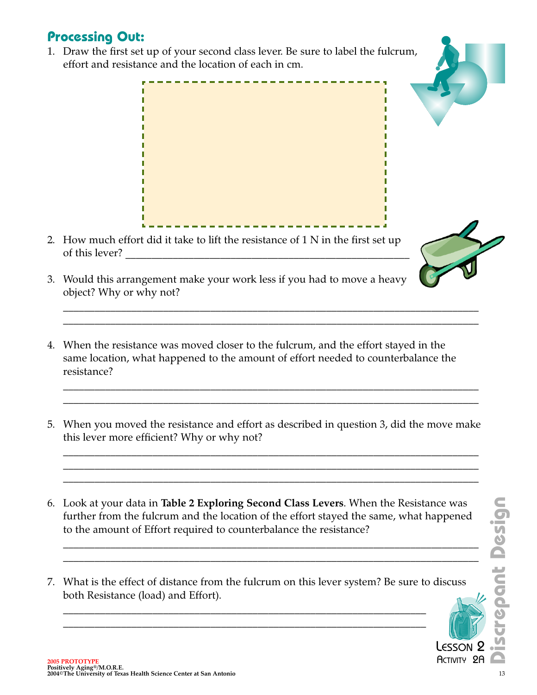### **Processing Out:**

1. Draw the first set up of your second class lever. Be sure to label the fulcrum, effort and resistance and the location of each in cm.



- 2. How much effort did it take to lift the resistance of 1 N in the first set up of this lever? \_\_\_\_\_\_\_\_\_\_\_\_\_\_\_\_\_\_\_\_\_\_\_\_\_\_\_\_\_\_\_\_\_\_\_\_\_\_\_\_\_\_\_\_\_\_\_\_\_\_\_\_\_\_
- 3. Would this arrangement make your work less if you had to move a heavy object? Why or why not?
- 4. When the resistance was moved closer to the fulcrum, and the effort stayed in the same location, what happened to the amount of effort needed to counterbalance the resistance?
- 5. When you moved the resistance and effort as described in question 3, did the move make this lever more efficient? Why or why not?
- 2006 at your data in **Table 2 Exploring Second Class Levers**. When the Resistance was<br>
further from the fulcrum and the location of the effort stayed the same, what happened<br> **2006 PROTOTYPE**<br>
2006 PROTOTYPE<br>
2006 PROTOT 6. Look at your data in **Table 2 Exploring Second Class Levers**. When the Resistance was further from the fulcrum and the location of the effort stayed the same, what happened to the amount of Effort required to counterbalance the resistance?
- 7. What is the effect of distance from the fulcrum on this lever system? Be sure to discuss both Resistance (load) and Effort).





п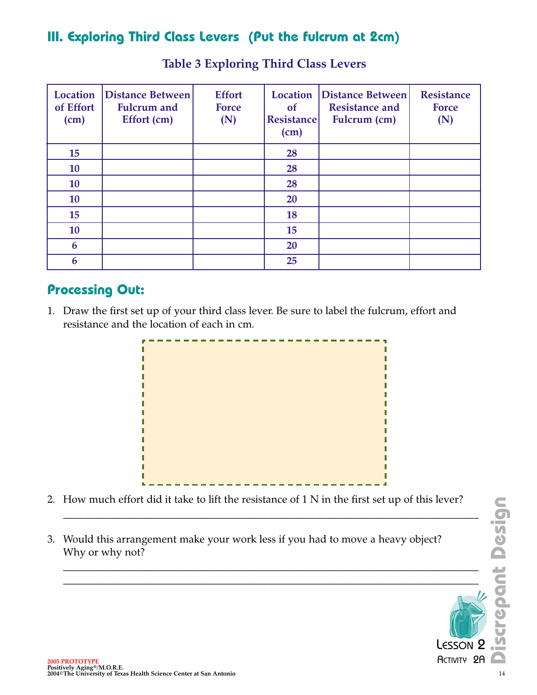## **III. Exploring Third Class Levers (Put the fulcrum at 2cm)**

| <b>Location</b><br>of Effort<br>(cm) | Distance Between<br><b>Fulcrum</b> and<br>Effort (cm) | <b>Effort</b><br><b>Force</b><br>(N) | <b>Location</b><br><sub>of</sub><br><b>Resistance</b><br>(cm) | <b>Distance Between</b><br><b>Resistance and</b><br>Fulcrum (cm) | <b>Resistance</b><br><b>Force</b><br>(N) |
|--------------------------------------|-------------------------------------------------------|--------------------------------------|---------------------------------------------------------------|------------------------------------------------------------------|------------------------------------------|
| 15                                   |                                                       |                                      | 28                                                            |                                                                  |                                          |
| 10                                   |                                                       |                                      | 28                                                            |                                                                  |                                          |
| 10                                   |                                                       |                                      | 28                                                            |                                                                  |                                          |
| 10                                   |                                                       |                                      | 20                                                            |                                                                  |                                          |
| 15                                   |                                                       |                                      | 18                                                            |                                                                  |                                          |
| 10                                   |                                                       |                                      | 15                                                            |                                                                  |                                          |
| 6                                    |                                                       |                                      | 20                                                            |                                                                  |                                          |
| 6                                    |                                                       |                                      | 25                                                            |                                                                  |                                          |

#### **Table 3 Exploring Third Class Levers**

#### **Processing Out:**

1. Draw the first set up of your third class lever. Be sure to label the fulcrum, effort and resistance and the location of each in cm.



2. How much effort did it take to lift the resistance of 1 N in the first set up of this lever?

 $\_$  , and the set of the set of the set of the set of the set of the set of the set of the set of the set of the set of the set of the set of the set of the set of the set of the set of the set of the set of the set of th

 $\_$  , and the set of the set of the set of the set of the set of the set of the set of the set of the set of the set of the set of the set of the set of the set of the set of the set of the set of the set of the set of th

2006 PROTOTYPE<br>
2006 PROTOTYPE<br>
2006 PROTOTYPE<br>
2006 PROTOTYPE<br>
2006 PROTOTYPE<br>
2006 PROTOTYPE<br>
2004<br>
2004 PTER University of Texas Health Science Center at San Antonio<br>
2004<br>
2004 PTER University of Texas Health Science C 3. Would this arrangement make your work less if you had to move a heavy object? Why or why not?

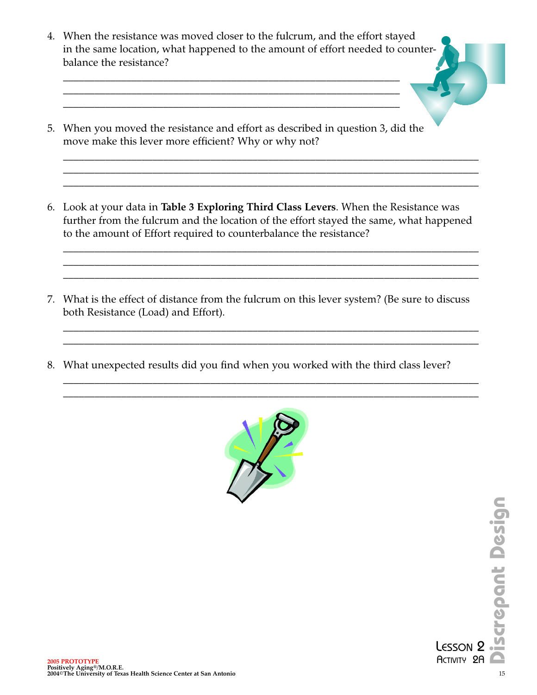4. When the resistance was moved closer to the fulcrum, and the effort stayed in the same location, what happened to the amount of effort needed to counterbalance the resistance?

\_\_\_\_\_\_\_\_\_\_\_\_\_\_\_\_\_\_\_\_\_\_\_\_\_\_\_\_\_\_\_\_\_\_\_\_\_\_\_\_\_\_\_\_\_\_\_\_\_\_\_\_\_\_\_\_\_\_\_\_\_\_\_\_ \_\_\_\_\_\_\_\_\_\_\_\_\_\_\_\_\_\_\_\_\_\_\_\_\_\_\_\_\_\_\_\_\_\_\_\_\_\_\_\_\_\_\_\_\_\_\_\_\_\_\_\_\_\_\_\_\_\_\_\_\_\_\_\_ \_\_\_\_\_\_\_\_\_\_\_\_\_\_\_\_\_\_\_\_\_\_\_\_\_\_\_\_\_\_\_\_\_\_\_\_\_\_\_\_\_\_\_\_\_\_\_\_\_\_\_\_\_\_\_\_\_\_\_\_\_\_\_\_

- 5. When you moved the resistance and effort as described in question 3, did the move make this lever more efficient? Why or why not?
- 6. Look at your data in **Table 3 Exploring Third Class Levers**. When the Resistance was further from the fulcrum and the location of the effort stayed the same, what happened to the amount of Effort required to counterbalance the resistance?

 $\_$  , and the set of the set of the set of the set of the set of the set of the set of the set of the set of the set of the set of the set of the set of the set of the set of the set of the set of the set of the set of th  $\_$  , and the set of the set of the set of the set of the set of the set of the set of the set of the set of the set of the set of the set of the set of the set of the set of the set of the set of the set of the set of th  $\_$  , and the set of the set of the set of the set of the set of the set of the set of the set of the set of the set of the set of the set of the set of the set of the set of the set of the set of the set of the set of th

 $\_$  , and the set of the set of the set of the set of the set of the set of the set of the set of the set of the set of the set of the set of the set of the set of the set of the set of the set of the set of the set of th  $\_$  , and the set of the set of the set of the set of the set of the set of the set of the set of the set of the set of the set of the set of the set of the set of the set of the set of the set of the set of the set of th

 $\_$  , and the set of the set of the set of the set of the set of the set of the set of the set of the set of the set of the set of the set of the set of the set of the set of the set of the set of the set of the set of th  $\_$  , and the set of the set of the set of the set of the set of the set of the set of the set of the set of the set of the set of the set of the set of the set of the set of the set of the set of the set of the set of th

 $\_$  , and the set of the set of the set of the set of the set of the set of the set of the set of the set of the set of the set of the set of the set of the set of the set of the set of the set of the set of the set of th  $\_$  , and the set of the set of the set of the set of the set of the set of the set of the set of the set of the set of the set of the set of the set of the set of the set of the set of the set of the set of the set of th  $\_$  , and the set of the set of the set of the set of the set of the set of the set of the set of the set of the set of the set of the set of the set of the set of the set of the set of the set of the set of the set of th

- 7. What is the effect of distance from the fulcrum on this lever system? (Be sure to discuss both Resistance (Load) and Effort).
- 8. What unexpected results did you find when you worked with the third class lever?